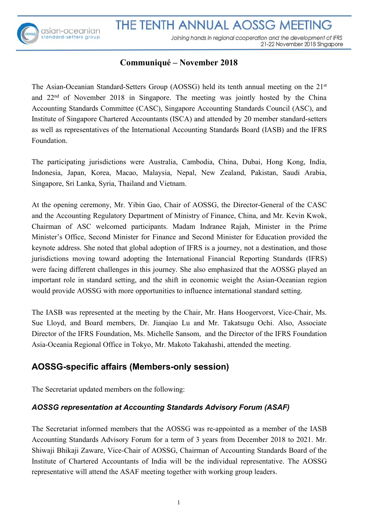### **Communiqué – November 2018**

The Asian-Oceanian Standard-Setters Group (AOSSG) held its tenth annual meeting on the 21<sup>st</sup> and 22<sup>nd</sup> of November 2018 in Singapore. The meeting was jointly hosted by the China Accounting Standards Committee (CASC), Singapore Accounting Standards Council (ASC), and Institute of Singapore Chartered Accountants (ISCA) and attended by 20 member standard-setters as well as representatives of the International Accounting Standards Board (IASB) and the IFRS Foundation.

The participating jurisdictions were Australia, Cambodia, China, Dubai, Hong Kong, India, Indonesia, Japan, Korea, Macao, Malaysia, Nepal, New Zealand, Pakistan, Saudi Arabia, Singapore, Sri Lanka, Syria, Thailand and Vietnam.

At the opening ceremony, Mr. Yibin Gao, Chair of AOSSG, the Director-General of the CASC and the Accounting Regulatory Department of Ministry of Finance, China, and Mr. Kevin Kwok, Chairman of ASC welcomed participants. Madam Indranee Rajah, Minister in the Prime Minister's Office, Second Minister for Finance and Second Minister for Education provided the keynote address. She noted that global adoption of IFRS is a journey, not a destination, and those jurisdictions moving toward adopting the International Financial Reporting Standards (IFRS) were facing different challenges in this journey. She also emphasized that the AOSSG played an important role in standard setting, and the shift in economic weight the Asian-Oceanian region would provide AOSSG with more opportunities to influence international standard setting.

The IASB was represented at the meeting by the Chair, Mr. Hans Hoogervorst, Vice-Chair, Ms. Sue Lloyd, and Board members, Dr. Jianqiao Lu and Mr. Takatsugu Ochi. Also, Associate Director of the IFRS Foundation, Ms. Michelle Sansom, and the Director of the IFRS Foundation Asia-Oceania Regional Office in Tokyo, Mr. Makoto Takahashi, attended the meeting.

# **AOSSG-specific affairs (Members-only session)**

The Secretariat updated members on the following:

asian-oceanian standard-setters group

### *AOSSG representation at Accounting Standards Advisory Forum (ASAF)*

The Secretariat informed members that the AOSSG was re-appointed as a member of the IASB Accounting Standards Advisory Forum for a term of 3 years from December 2018 to 2021. Mr. Shiwaji Bhikaji Zaware, Vice-Chair of AOSSG, Chairman of Accounting Standards Board of the Institute of Chartered Accountants of India will be the individual representative. The AOSSG representative will attend the ASAF meeting together with working group leaders.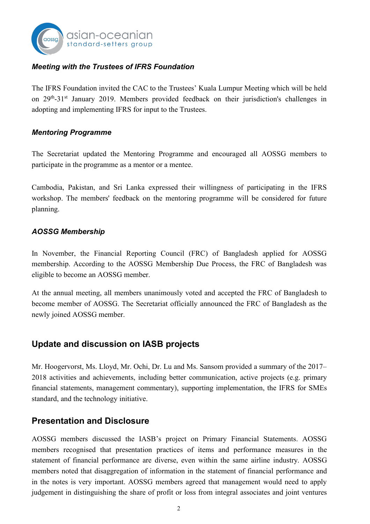

### *Meeting with the Trustees of IFRS Foundation*

The IFRS Foundation invited the CAC to the Trustees' Kuala Lumpur Meeting which will be held on 29<sup>th</sup>-31<sup>st</sup> January 2019. Members provided feedback on their jurisdiction's challenges in adopting and implementing IFRS for input to the Trustees.

### *Mentoring Programme*

The Secretariat updated the Mentoring Programme and encouraged all AOSSG members to participate in the programme as a mentor or a mentee.

Cambodia, Pakistan, and Sri Lanka expressed their willingness of participating in the IFRS workshop. The members' feedback on the mentoring programme will be considered for future planning.

### *AOSSG Membership*

In November, the Financial Reporting Council (FRC) of Bangladesh applied for AOSSG membership. According to the AOSSG Membership Due Process, the FRC of Bangladesh was eligible to become an AOSSG member.

At the annual meeting, all members unanimously voted and accepted the FRC of Bangladesh to become member of AOSSG. The Secretariat officially announced the FRC of Bangladesh as the newly joined AOSSG member.

## **Update and discussion on IASB projects**

Mr. Hoogervorst, Ms. Lloyd, Mr. Ochi, Dr. Lu and Ms. Sansom provided a summary of the 2017– 2018 activities and achievements, including better communication, active projects (e.g. primary financial statements, management commentary), supporting implementation, the IFRS for SMEs standard, and the technology initiative.

## **Presentation and Disclosure**

AOSSG members discussed the IASB's project on Primary Financial Statements. AOSSG members recognised that presentation practices of items and performance measures in the statement of financial performance are diverse, even within the same airline industry. AOSSG members noted that disaggregation of information in the statement of financial performance and in the notes is very important. AOSSG members agreed that management would need to apply judgement in distinguishing the share of profit or loss from integral associates and joint ventures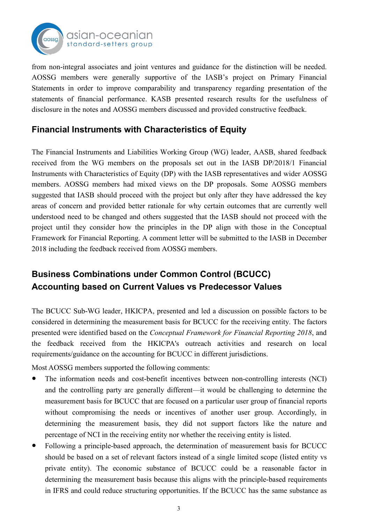

#### asian-oceanian standard-setters group

from non-integral associates and joint ventures and guidance for the distinction will be needed. AOSSG members were generally supportive of the IASB's project on Primary Financial Statements in order to improve comparability and transparency regarding presentation of the statements of financial performance. KASB presented research results for the usefulness of disclosure in the notes and AOSSG members discussed and provided constructive feedback.

# **Financial Instruments with Characteristics of Equity**

The Financial Instruments and Liabilities Working Group (WG) leader, AASB, shared feedback received from the WG members on the proposals set out in the IASB DP/2018/1 Financial Instruments with Characteristics of Equity (DP) with the IASB representatives and wider AOSSG members. AOSSG members had mixed views on the DP proposals. Some AOSSG members suggested that IASB should proceed with the project but only after they have addressed the key areas of concern and provided better rationale for why certain outcomes that are currently well understood need to be changed and others suggested that the IASB should not proceed with the project until they consider how the principles in the DP align with those in the Conceptual Framework for Financial Reporting. A comment letter will be submitted to the IASB in December 2018 including the feedback received from AOSSG members.

# **Business Combinations under Common Control (BCUCC) Accounting based on Current Values vs Predecessor Values**

The BCUCC Sub-WG leader, HKICPA, presented and led a discussion on possible factors to be considered in determining the measurement basis for BCUCC for the receiving entity. The factors presented were identified based on the *Conceptual Framework for Financial Reporting 2018*, and the feedback received from the HKICPA's outreach activities and research on local requirements/guidance on the accounting for BCUCC in different jurisdictions.

Most AOSSG members supported the following comments:

- The information needs and cost-benefit incentives between non-controlling interests (NCI) and the controlling party are generally different—it would be challenging to determine the measurement basis for BCUCC that are focused on a particular user group of financial reports without compromising the needs or incentives of another user group. Accordingly, in determining the measurement basis, they did not support factors like the nature and percentage of NCI in the receiving entity nor whether the receiving entity is listed.
- Following a principle-based approach, the determination of measurement basis for BCUCC should be based on a set of relevant factors instead of a single limited scope (listed entity vs private entity). The economic substance of BCUCC could be a reasonable factor in determining the measurement basis because this aligns with the principle-based requirements in IFRS and could reduce structuring opportunities. If the BCUCC has the same substance as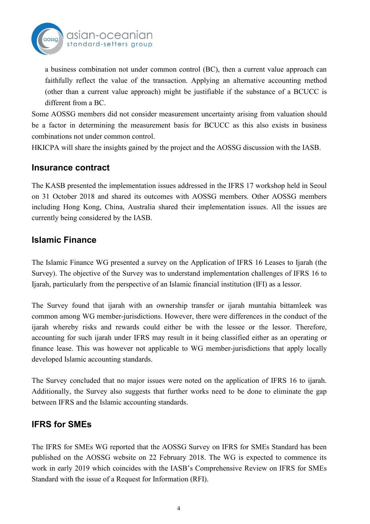

a business combination not under common control (BC), then a current value approach can faithfully reflect the value of the transaction. Applying an alternative accounting method (other than a current value approach) might be justifiable if the substance of a BCUCC is different from a BC.

Some AOSSG members did not consider measurement uncertainty arising from valuation should be a factor in determining the measurement basis for BCUCC as this also exists in business combinations not under common control.

HKICPA will share the insights gained by the project and the AOSSG discussion with the IASB.

### **Insurance contract**

The KASB presented the implementation issues addressed in the IFRS 17 workshop held in Seoul on 31 October 2018 and shared its outcomes with AOSSG members. Other AOSSG members including Hong Kong, China, Australia shared their implementation issues. All the issues are currently being considered by the IASB.

## **Islamic Finance**

The Islamic Finance WG presented a survey on the Application of IFRS 16 Leases to Ijarah (the Survey). The objective of the Survey was to understand implementation challenges of IFRS 16 to Ijarah, particularly from the perspective of an Islamic financial institution (IFI) as a lessor.

The Survey found that ijarah with an ownership transfer or ijarah muntahia bittamleek was common among WG member-jurisdictions. However, there were differences in the conduct of the ijarah whereby risks and rewards could either be with the lessee or the lessor. Therefore, accounting for such ijarah under IFRS may result in it being classified either as an operating or finance lease. This was however not applicable to WG member-jurisdictions that apply locally developed Islamic accounting standards.

The Survey concluded that no major issues were noted on the application of IFRS 16 to ijarah. Additionally, the Survey also suggests that further works need to be done to eliminate the gap between IFRS and the Islamic accounting standards.

## **IFRS for SMEs**

The IFRS for SMEs WG reported that the AOSSG Survey on IFRS for SMEs Standard has been published on the AOSSG website on 22 February 2018. The WG is expected to commence its work in early 2019 which coincides with the IASB's Comprehensive Review on IFRS for SMEs Standard with the issue of a Request for Information (RFI).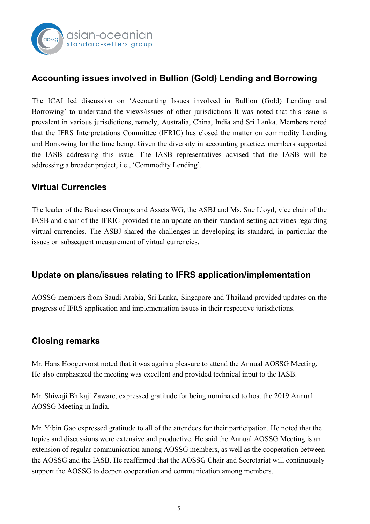

# **Accounting issues involved in Bullion (Gold) Lending and Borrowing**

The ICAI led discussion on 'Accounting Issues involved in Bullion (Gold) Lending and Borrowing' to understand the views/issues of other jurisdictions It was noted that this issue is prevalent in various jurisdictions, namely, Australia, China, India and Sri Lanka. Members noted that the IFRS Interpretations Committee (IFRIC) has closed the matter on commodity Lending and Borrowing for the time being. Given the diversity in accounting practice, members supported the IASB addressing this issue. The IASB representatives advised that the IASB will be addressing a broader project, i.e., 'Commodity Lending'.

# **Virtual Currencies**

The leader of the Business Groups and Assets WG, the ASBJ and Ms. Sue Lloyd, vice chair of the IASB and chair of the IFRIC provided the an update on their standard-setting activities regarding virtual currencies. The ASBJ shared the challenges in developing its standard, in particular the issues on subsequent measurement of virtual currencies.

# **Update on plans/issues relating to IFRS application/implementation**

AOSSG members from Saudi Arabia, Sri Lanka, Singapore and Thailand provided updates on the progress of IFRS application and implementation issues in their respective jurisdictions.

# **Closing remarks**

Mr. Hans Hoogervorst noted that it was again a pleasure to attend the Annual AOSSG Meeting. He also emphasized the meeting was excellent and provided technical input to the IASB.

Mr. Shiwaji Bhikaji Zaware, expressed gratitude for being nominated to host the 2019 Annual AOSSG Meeting in India.

Mr. Yibin Gao expressed gratitude to all of the attendees for their participation. He noted that the topics and discussions were extensive and productive. He said the Annual AOSSG Meeting is an extension of regular communication among AOSSG members, as well as the cooperation between the AOSSG and the IASB. He reaffirmed that the AOSSG Chair and Secretariat will continuously support the AOSSG to deepen cooperation and communication among members.